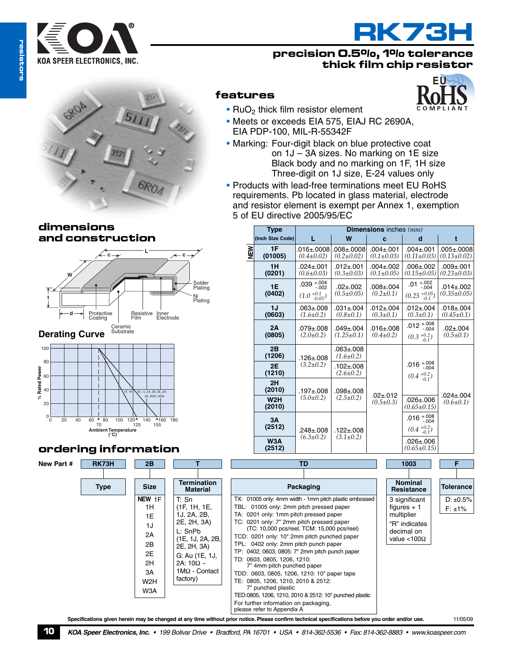



## **precision 0.5%, 1% tolerance thick film chip resistor**



## **dimensions and construction**



**Substrate Derating Curve**



# **ordering information**

T: Sn (1F, 1H, 1E, 1J, 2A, 2B, 2E, 2H, 3A) L: SnPb (1E, 1J, 2A, 2B, 2E, 2H, 3A) G: Au (1E, 1J, 2A: 10Ω ~ 1MΩ - Contact factory)

**NEW** 1F 1H 1E 1J 2A 2B 2E 2H 3A W2H W3A



TX: 01005 only: 4mm width - 1mm pitch plastic embossed TBL: 01005 only: 2mm pitch pressed paper TA: 0201 only: 1mm pitch pressed paper TC: 0201 only: 7" 2mm pitch pressed paper (TC: 10,000 pcs/reel, TCM: 15,000 pcs/reel) TCD: 0201 only: 10" 2mm pitch punched paper TPL: 0402 only: 2mm pitch punch paper TP: 0402, 0603, 0805: 7" 2mm pitch punch paper

TED:0805, 1206, 1210, 2010 & 2512: 10" punched plastic

**1E**

≥<br>N

**1J**

**2A**

 $D: \pm 0.5\%$  $F: \pm 1\%$ 3 significant figures  $+1$ 

multiplier "R" indicates decimal on value <100Ω



 $\cdot$  RuO<sub>2</sub> thick film resistor element

EIA PDP-100, MIL-R-55342F

• Meets or exceeds EIA 575, EIAJ RC 2690A,

**EU**



Specifications given herein may be changed at any time without prior notice. Please confirm technical specifications before you order and/or use. 11/05/09 please refer to Appendix A

For further information on packaging,

TD: 0603, 0805, 1206, 1210: 7" 4mm pitch punched paper TDD: 0603, 0805, 1206, 1210: 10" paper tape TE: 0805, 1206, 1210, 2010 & 2512: 7" punched plastic